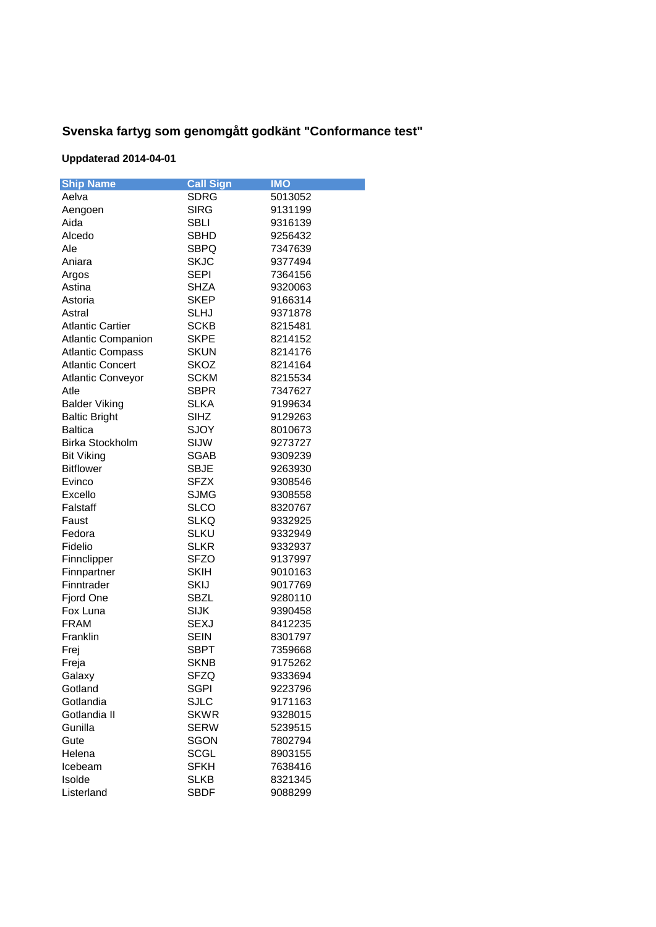## **Svenska fartyg som genomgått godkänt "Conformance test"**

## **Uppdaterad 2014-04-01**

| <b>Ship Name</b>          | <b>Call Sign</b> | <b>IMO</b> |
|---------------------------|------------------|------------|
| Aelva                     | <b>SDRG</b>      | 5013052    |
| Aengoen                   | <b>SIRG</b>      | 9131199    |
| Aida                      | <b>SBLI</b>      | 9316139    |
| Alcedo                    | <b>SBHD</b>      | 9256432    |
| Ale                       | <b>SBPQ</b>      | 7347639    |
| Aniara                    | SKJC             | 9377494    |
| Argos                     | <b>SEPI</b>      | 7364156    |
| Astina                    | SHZA             | 9320063    |
| Astoria                   | <b>SKEP</b>      | 9166314    |
| Astral                    | <b>SLHJ</b>      | 9371878    |
| <b>Atlantic Cartier</b>   | SCKB             | 8215481    |
| <b>Atlantic Companion</b> | <b>SKPE</b>      | 8214152    |
| <b>Atlantic Compass</b>   | <b>SKUN</b>      | 8214176    |
| <b>Atlantic Concert</b>   | SKOZ             | 8214164    |
| <b>Atlantic Conveyor</b>  | <b>SCKM</b>      | 8215534    |
| Atle                      | SBPR             | 7347627    |
| <b>Balder Viking</b>      | <b>SLKA</b>      | 9199634    |
| <b>Baltic Bright</b>      | <b>SIHZ</b>      | 9129263    |
| <b>Baltica</b>            | SJOY             | 8010673    |
| <b>Birka Stockholm</b>    | SIJW             | 9273727    |
| <b>Bit Viking</b>         | SGAB             | 9309239    |
| <b>Bitflower</b>          | <b>SBJE</b>      | 9263930    |
| Evinco                    | <b>SFZX</b>      | 9308546    |
| Excello                   | <b>SJMG</b>      | 9308558    |
| Falstaff                  | SLCO             | 8320767    |
| Faust                     | <b>SLKQ</b>      | 9332925    |
| Fedora                    | SLKU             | 9332949    |
| Fidelio                   | <b>SLKR</b>      | 9332937    |
| Finnclipper               | <b>SFZO</b>      | 9137997    |
| Finnpartner               | <b>SKIH</b>      | 9010163    |
| Finntrader                | SKIJ             | 9017769    |
| Fjord One                 | SBZL             | 9280110    |
| Fox Luna                  | <b>SIJK</b>      | 9390458    |
| <b>FRAM</b>               | <b>SEXJ</b>      | 8412235    |
| Franklin                  | <b>SEIN</b>      | 8301797    |
| Frej                      | <b>SBPT</b>      | 7359668    |
| Freja                     | <b>SKNB</b>      | 9175262    |
| Galaxy                    | SFZQ             | 9333694    |
| Gotland                   | <b>SGPI</b>      | 9223796    |
| Gotlandia                 | <b>SJLC</b>      | 9171163    |
| Gotlandia II              | <b>SKWR</b>      | 9328015    |
| Gunilla                   | SERW             | 5239515    |
| Gute                      | SGON             | 7802794    |
| Helena                    | <b>SCGL</b>      | 8903155    |
| Icebeam                   | SFKH             | 7638416    |
| Isolde                    | <b>SLKB</b>      | 8321345    |
| Listerland                | <b>SBDF</b>      | 9088299    |